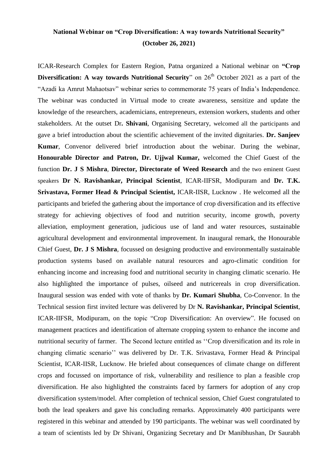## **National Webinar on "Crop Diversification: A way towards Nutritional Security" (October 26, 2021)**

ICAR-Research Complex for Eastern Region, Patna organized a National webinar on **"Crop Diversification: A way towards Nutritional Security**" on 26<sup>th</sup> October 2021 as a part of the "Azadi ka Amrut Mahaotsav" webinar series to commemorate 75 years of India"s Independence. The webinar was conducted in Virtual mode to create awareness, sensitize and update the knowledge of the researchers, academicians, entrepreneurs, extension workers, students and other stakeholders. At the outset Dr**. Shivani**, Organising Secretary, welcomed all the participants and gave a brief introduction about the scientific achievement of the invited dignitaries. **Dr. Sanjeev Kumar**, Convenor delivered brief introduction about the webinar. During the webinar, **Honourable Director and Patron, Dr. Ujjwal Kumar,** welcomed the Chief Guest of the function **Dr. J S Mishra**, **Director, Directorate of Weed Research** and the two eminent Guest speakers **Dr N. Ravishankar, Principal Scientist**, ICAR-IIFSR, Modipuram and **Dr. T.K. Srivastava, Former Head & Principal Scientist,** ICAR-IISR, Lucknow . He welcomed all the participants and briefed the gathering about the importance of crop diversification and its effective strategy for achieving objectives of food and nutrition security, income growth, poverty alleviation, employment generation, judicious use of land and water resources, sustainable agricultural development and environmental improvement. In inaugural remark, the Honourable Chief Guest, **Dr. J S Mishra**, focussed on designing productive and environmentally sustainable production systems based on available natural resources and agro-climatic condition for enhancing income and increasing food and nutritional security in changing climatic scenario. He also highlighted the importance of pulses, oilseed and nutricereals in crop diversification. Inaugural session was ended with vote of thanks by **Dr. Kumari Shubha**, Co-Convenor. In the Technical session first invited lecture was delivered by Dr **N. Ravishankar, Principal Scientist**, ICAR-IIFSR, Modipuram, on the topic "Crop Diversification: An overview". He focused on management practices and identification of alternate cropping system to enhance the income and nutritional security of farmer. The Second lecture entitled as ""Crop diversification and its role in changing climatic scenario"" was delivered by Dr. T.K. Srivastava, Former Head & Principal Scientist, ICAR-IISR, Lucknow. He briefed about consequences of climate change on different crops and focussed on importance of risk, vulnerability and resilience to plan a feasible crop diversification. He also highlighted the constraints faced by farmers for adoption of any crop diversification system/model. After completion of technical session, Chief Guest congratulated to both the lead speakers and gave his concluding remarks. Approximately 400 participants were registered in this webinar and attended by 190 participants. The webinar was well coordinated by a team of scientists led by Dr Shivani, Organizing Secretary and Dr Manibhushan, Dr Saurabh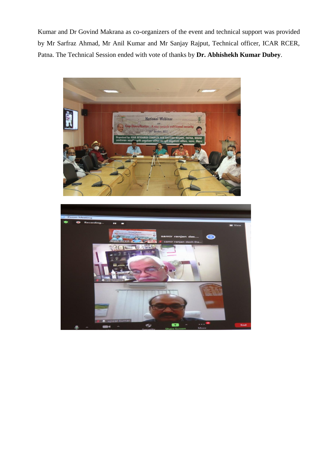Kumar and Dr Govind Makrana as co-organizers of the event and technical support was provided by Mr Sarfraz Ahmad, Mr Anil Kumar and Mr Sanjay Rajput, Technical officer, ICAR RCER, Patna. The Technical Session ended with vote of thanks by **Dr. Abhishekh Kumar Dubey**.